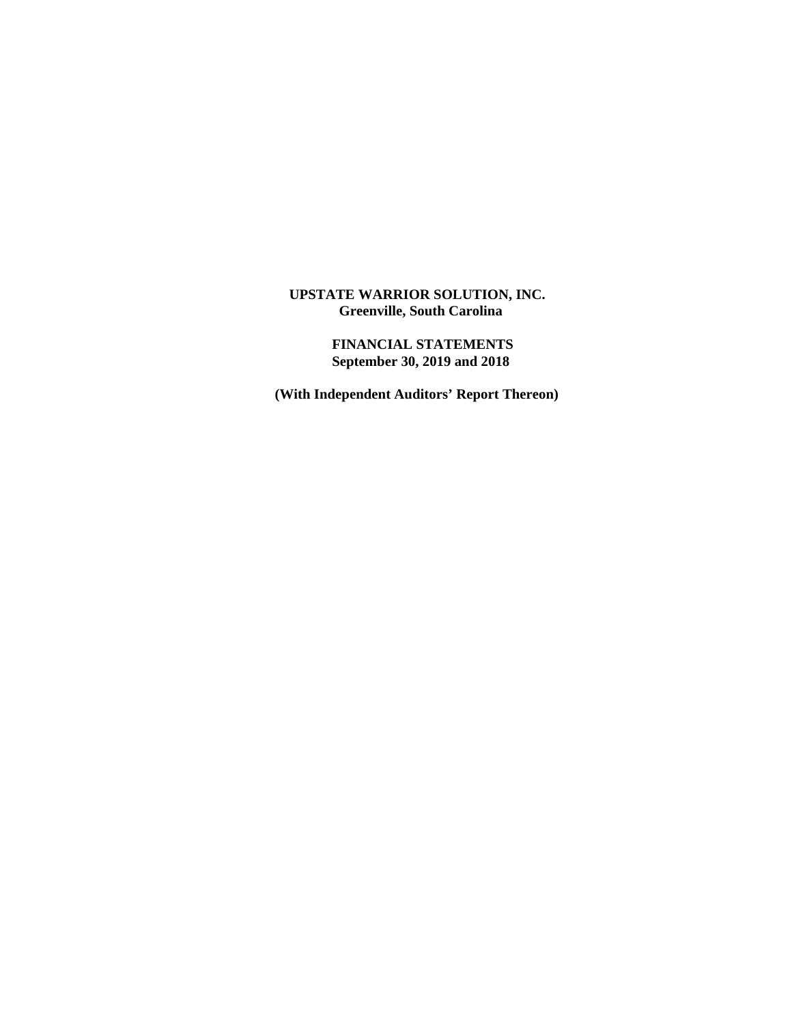## **UPSTATE WARRIOR SOLUTION, INC. Greenville, South Carolina**

 **FINANCIAL STATEMENTS September 30, 2019 and 2018** 

 **(With Independent Auditors' Report Thereon)**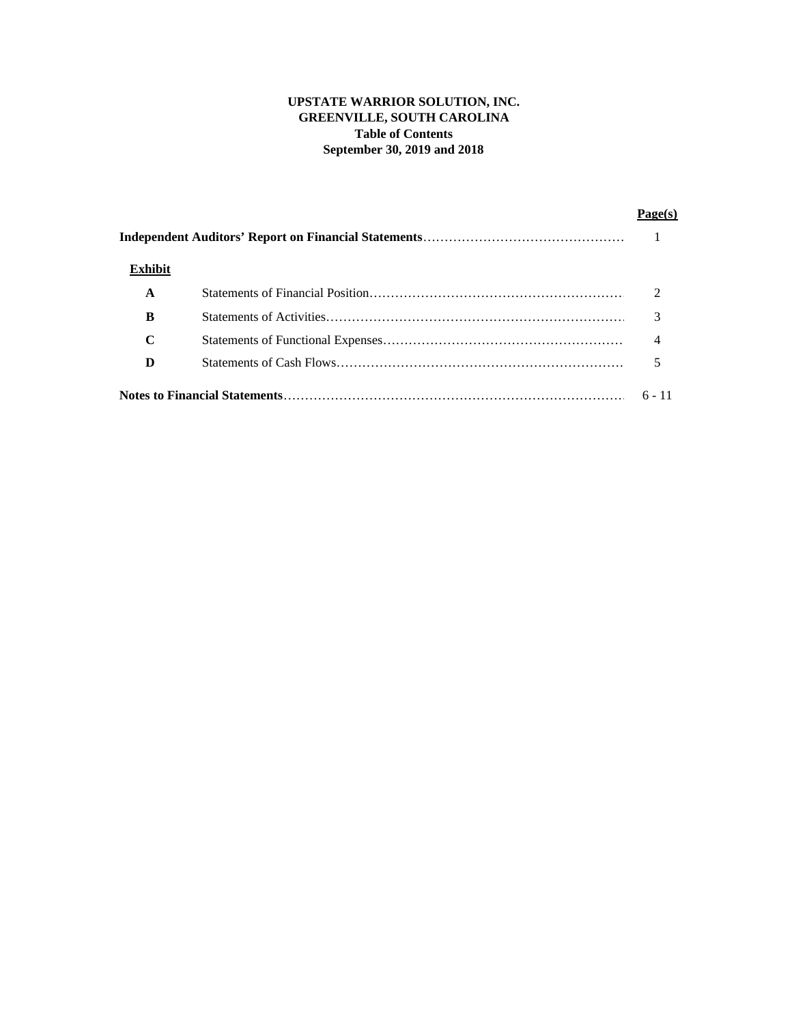## **UPSTATE WARRIOR SOLUTION, INC. GREENVILLE, SOUTH CAROLINA Table of Contents September 30, 2019 and 2018**

|                | Page(s)  |
|----------------|----------|
|                |          |
| <b>Exhibit</b> |          |
| A              | 2        |
| B              |          |
| C              | 4        |
| D              |          |
|                | $6 - 11$ |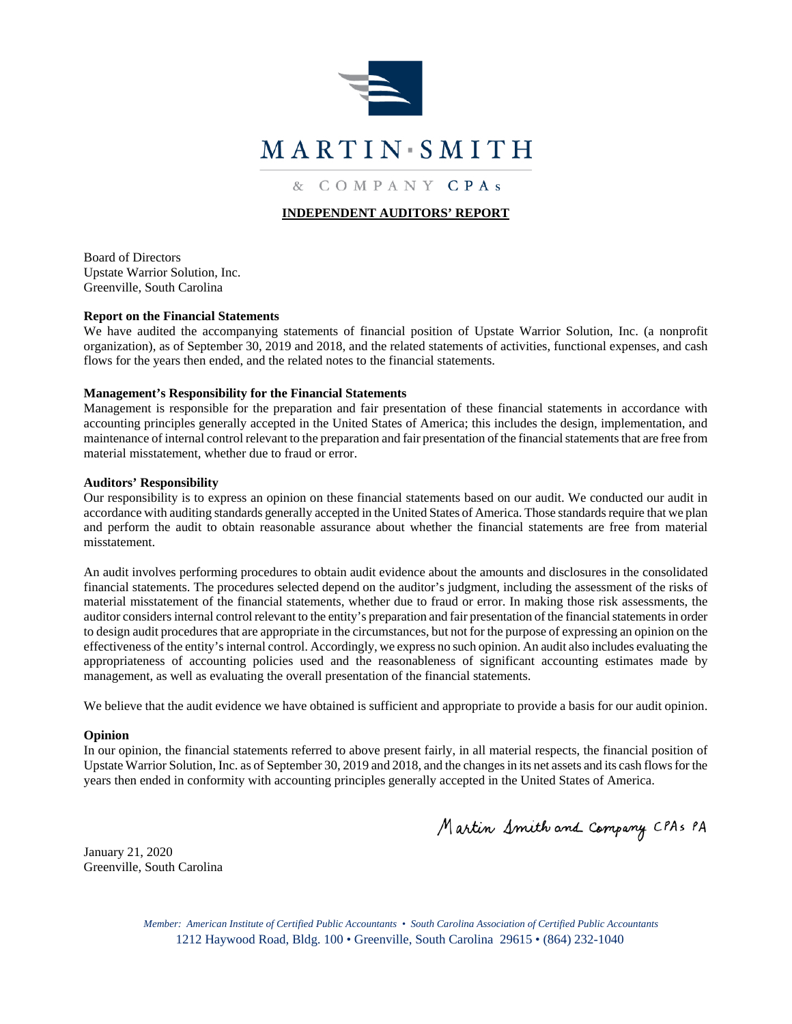

& COMPANY CPAS

## **INDEPENDENT AUDITORS' REPORT**

Board of Directors Upstate Warrior Solution, Inc. Greenville, South Carolina

#### **Report on the Financial Statements**

We have audited the accompanying statements of financial position of Upstate Warrior Solution, Inc. (a nonprofit organization), as of September 30, 2019 and 2018, and the related statements of activities, functional expenses, and cash flows for the years then ended, and the related notes to the financial statements.

#### **Management's Responsibility for the Financial Statements**

Management is responsible for the preparation and fair presentation of these financial statements in accordance with accounting principles generally accepted in the United States of America; this includes the design, implementation, and maintenance of internal control relevant to the preparation and fair presentation of the financial statements that are free from material misstatement, whether due to fraud or error.

#### **Auditors' Responsibility**

Our responsibility is to express an opinion on these financial statements based on our audit. We conducted our audit in accordance with auditing standards generally accepted in the United States of America. Those standards require that we plan and perform the audit to obtain reasonable assurance about whether the financial statements are free from material misstatement.

An audit involves performing procedures to obtain audit evidence about the amounts and disclosures in the consolidated financial statements. The procedures selected depend on the auditor's judgment, including the assessment of the risks of material misstatement of the financial statements, whether due to fraud or error. In making those risk assessments, the auditor considers internal control relevant to the entity's preparation and fair presentation of the financial statements in order to design audit procedures that are appropriate in the circumstances, but not for the purpose of expressing an opinion on the effectiveness of the entity's internal control. Accordingly, we express no such opinion. An audit also includes evaluating the appropriateness of accounting policies used and the reasonableness of significant accounting estimates made by management, as well as evaluating the overall presentation of the financial statements.

We believe that the audit evidence we have obtained is sufficient and appropriate to provide a basis for our audit opinion.

#### **Opinion**

In our opinion, the financial statements referred to above present fairly, in all material respects, the financial position of Upstate Warrior Solution, Inc. as of September 30, 2019 and 2018, and the changes in its net assets and its cash flows for the years then ended in conformity with accounting principles generally accepted in the United States of America.

Martin Smith and Company CPAs PA

January 21, 2020 Greenville, South Carolina

> *Member: American Institute of Certified Public Accountants • South Carolina Association of Certified Public Accountants*  1212 Haywood Road, Bldg. 100 • Greenville, South Carolina 29615 • (864) 232-1040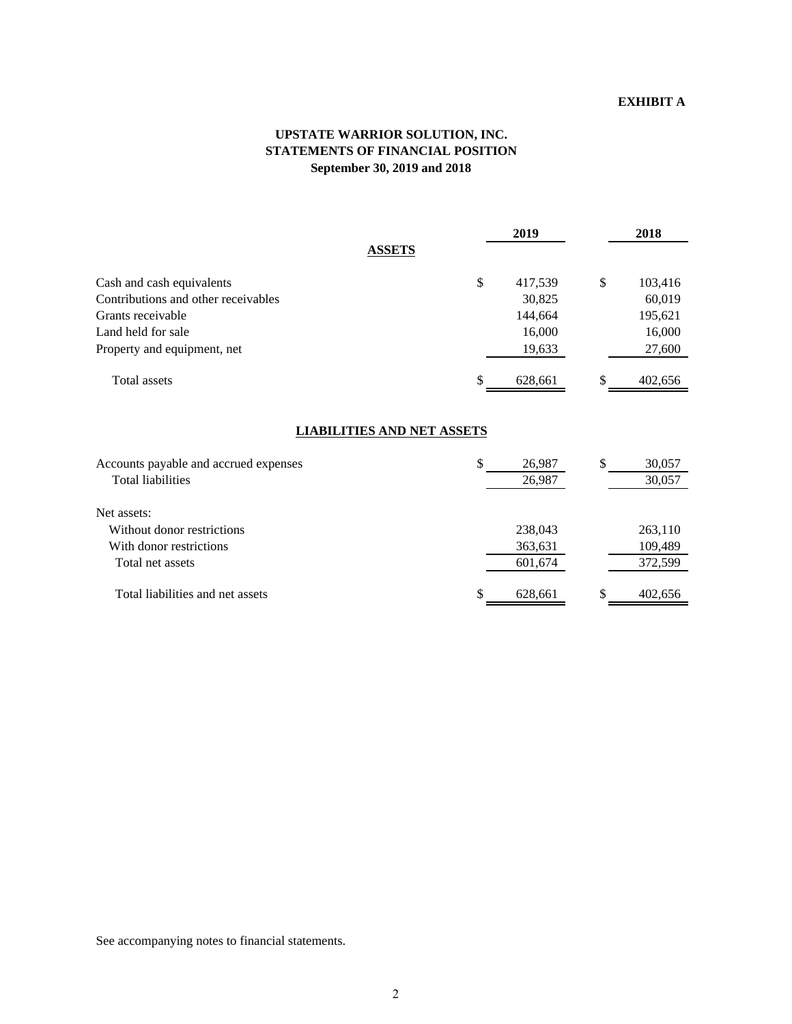# **EXHIBIT A**

## **UPSTATE WARRIOR SOLUTION, INC. STATEMENTS OF FINANCIAL POSITION September 30, 2019 and 2018**

|                                       |                                          | 2019    |    | 2018    |
|---------------------------------------|------------------------------------------|---------|----|---------|
|                                       | <b>ASSETS</b>                            |         |    |         |
| Cash and cash equivalents             | \$                                       | 417,539 | \$ | 103,416 |
| Contributions and other receivables   |                                          | 30,825  |    | 60,019  |
| Grants receivable                     |                                          | 144,664 |    | 195,621 |
| Land held for sale                    |                                          | 16,000  |    | 16,000  |
| Property and equipment, net           |                                          | 19,633  |    | 27,600  |
| <b>Total assets</b>                   | \$                                       | 628,661 | \$ | 402,656 |
|                                       | <u><b>LIABILITIES AND NET ASSETS</b></u> |         |    |         |
| Accounts payable and accrued expenses | \$                                       | 26,987  | \$ | 30,057  |
| <b>Total liabilities</b>              |                                          | 26,987  |    | 30,057  |
| Net assets:                           |                                          |         |    |         |
| Without donor restrictions            |                                          | 238,043 |    | 263,110 |
| With donor restrictions               |                                          | 363,631 |    | 109,489 |
| Total net assets                      |                                          | 601,674 |    | 372,599 |
| Total liabilities and net assets      | \$                                       | 628,661 | \$ | 402,656 |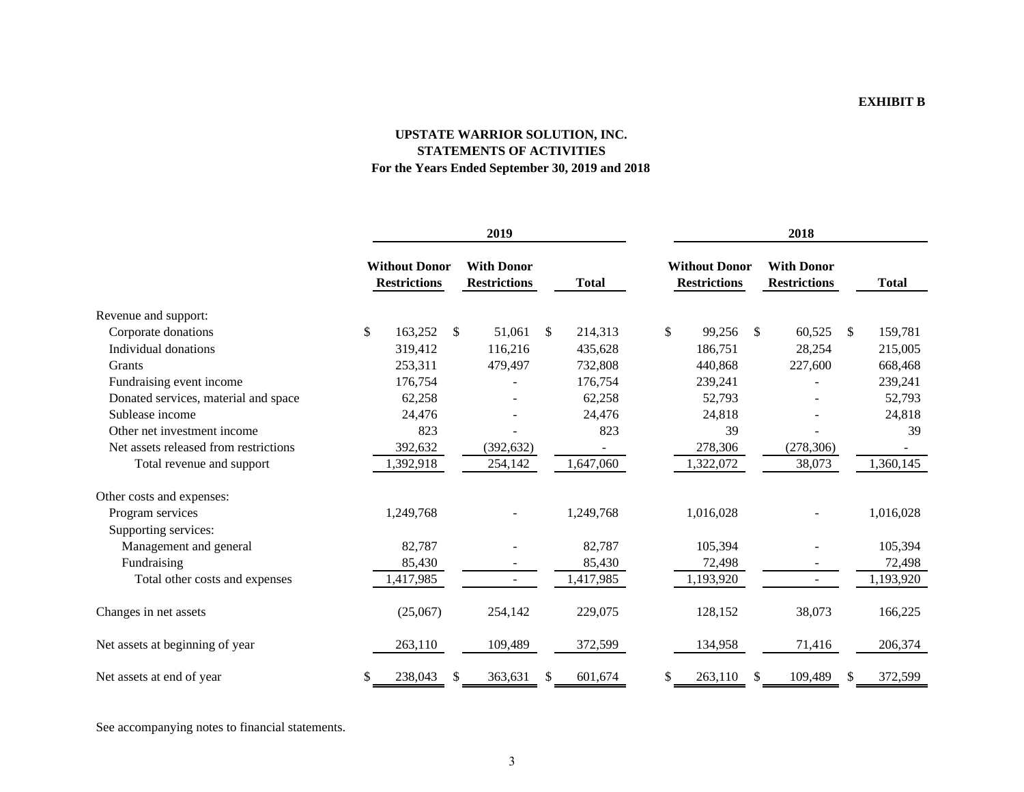#### **EXHIBIT B**

## **UPSTATE WARRIOR SOLUTION, INC. STATEMENTS OF ACTIVITIESFor the Years Ended September 30, 2019 and 2018**

|                                       | 2019 |                                             |                                          |     | 2018         |    |                                             |              |                                          |               |              |
|---------------------------------------|------|---------------------------------------------|------------------------------------------|-----|--------------|----|---------------------------------------------|--------------|------------------------------------------|---------------|--------------|
|                                       |      | <b>Without Donor</b><br><b>Restrictions</b> | <b>With Donor</b><br><b>Restrictions</b> |     | <b>Total</b> |    | <b>Without Donor</b><br><b>Restrictions</b> |              | <b>With Donor</b><br><b>Restrictions</b> |               | <b>Total</b> |
| Revenue and support:                  |      |                                             |                                          |     |              |    |                                             |              |                                          |               |              |
| Corporate donations                   | \$   | 163,252<br>\$                               | 51,061                                   | \$  | 214,313      | \$ | 99,256                                      | $\mathbb{S}$ | 60,525                                   | $\mathcal{S}$ | 159,781      |
| Individual donations                  |      | 319,412                                     | 116,216                                  |     | 435,628      |    | 186,751                                     |              | 28,254                                   |               | 215,005      |
| Grants                                |      | 253,311                                     | 479,497                                  |     | 732,808      |    | 440,868                                     |              | 227,600                                  |               | 668,468      |
| Fundraising event income              |      | 176,754                                     |                                          |     | 176,754      |    | 239,241                                     |              |                                          |               | 239,241      |
| Donated services, material and space  |      | 62,258                                      |                                          |     | 62,258       |    | 52,793                                      |              |                                          |               | 52,793       |
| Sublease income                       |      | 24,476                                      |                                          |     | 24,476       |    | 24,818                                      |              |                                          |               | 24,818       |
| Other net investment income           |      | 823                                         |                                          |     | 823          |    | 39                                          |              |                                          |               | 39           |
| Net assets released from restrictions |      | 392,632                                     | (392, 632)                               |     |              |    | 278,306                                     |              | (278, 306)                               |               |              |
| Total revenue and support             |      | 1,392,918                                   | 254,142                                  |     | 1,647,060    |    | 1,322,072                                   |              | 38,073                                   |               | 1,360,145    |
| Other costs and expenses:             |      |                                             |                                          |     |              |    |                                             |              |                                          |               |              |
| Program services                      |      | 1,249,768                                   |                                          |     | 1,249,768    |    | 1,016,028                                   |              |                                          |               | 1,016,028    |
| Supporting services:                  |      |                                             |                                          |     |              |    |                                             |              |                                          |               |              |
| Management and general                |      | 82,787                                      |                                          |     | 82,787       |    | 105,394                                     |              |                                          |               | 105,394      |
| Fundraising                           |      | 85,430                                      |                                          |     | 85,430       |    | 72,498                                      |              |                                          |               | 72,498       |
| Total other costs and expenses        |      | 1,417,985                                   |                                          |     | 1,417,985    |    | 1,193,920                                   |              |                                          |               | 1,193,920    |
| Changes in net assets                 |      | (25,067)                                    | 254,142                                  |     | 229,075      |    | 128,152                                     |              | 38,073                                   |               | 166,225      |
| Net assets at beginning of year       |      | 263,110                                     | 109,489                                  |     | 372,599      |    | 134,958                                     |              | 71,416                                   |               | 206,374      |
| Net assets at end of year             | \$   | 238,043<br>\$                               | 363,631                                  | \$. | 601,674      | \$ | 263,110                                     | \$.          | 109,489                                  |               | 372,599      |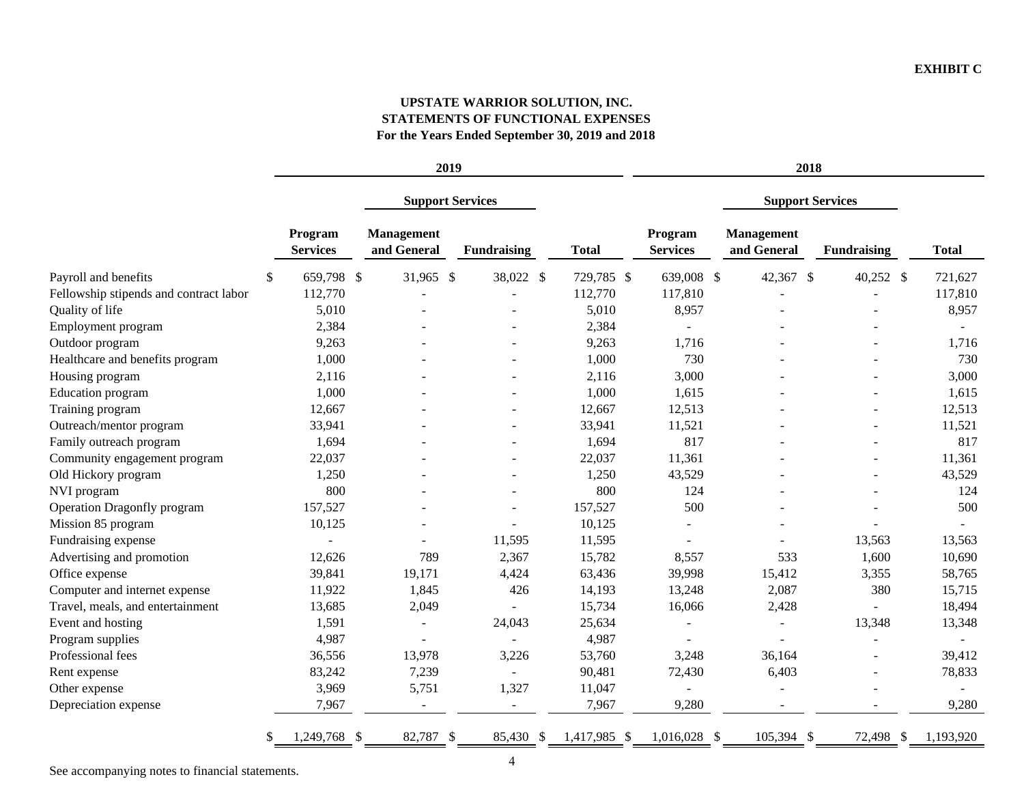# **UPSTATE WARRIOR SOLUTION, INC. STATEMENTS OF FUNCTIONAL EXPENSES For the Years Ended September 30, 2019 and 2018**

|                                        | 2019                       |                                  |                          |              | 2018                       |                                  |                          |              |  |  |
|----------------------------------------|----------------------------|----------------------------------|--------------------------|--------------|----------------------------|----------------------------------|--------------------------|--------------|--|--|
|                                        |                            | <b>Support Services</b>          |                          |              |                            | <b>Support Services</b>          |                          |              |  |  |
|                                        | Program<br><b>Services</b> | <b>Management</b><br>and General | Fundraising              | <b>Total</b> | Program<br><b>Services</b> | <b>Management</b><br>and General | <b>Fundraising</b>       | <b>Total</b> |  |  |
| Payroll and benefits                   | \$<br>659,798 \$           | 31,965 \$                        | $\mathcal{S}$<br>38,022  | 729,785 \$   | 639,008 \$                 | 42,367 \$                        | 40,252 \$                | 721,627      |  |  |
| Fellowship stipends and contract labor | 112,770                    |                                  |                          | 112,770      | 117,810                    |                                  |                          | 117,810      |  |  |
| Quality of life                        | 5,010                      |                                  |                          | 5,010        | 8,957                      |                                  |                          | 8,957        |  |  |
| Employment program                     | 2,384                      |                                  |                          | 2,384        |                            |                                  |                          |              |  |  |
| Outdoor program                        | 9,263                      |                                  |                          | 9,263        | 1,716                      |                                  | $\overline{\phantom{a}}$ | 1,716        |  |  |
| Healthcare and benefits program        | 1,000                      |                                  |                          | 1,000        | 730                        |                                  |                          | 730          |  |  |
| Housing program                        | 2,116                      |                                  |                          | 2,116        | 3,000                      |                                  |                          | 3,000        |  |  |
| Education program                      | 1,000                      |                                  |                          | 1,000        | 1,615                      |                                  |                          | 1,615        |  |  |
| Training program                       | 12,667                     |                                  |                          | 12,667       | 12,513                     |                                  |                          | 12,513       |  |  |
| Outreach/mentor program                | 33,941                     |                                  |                          | 33,941       | 11,521                     |                                  | $\overline{a}$           | 11,521       |  |  |
| Family outreach program                | 1,694                      |                                  |                          | 1,694        | 817                        |                                  |                          | 817          |  |  |
| Community engagement program           | 22,037                     |                                  |                          | 22,037       | 11,361                     |                                  |                          | 11,361       |  |  |
| Old Hickory program                    | 1,250                      |                                  |                          | 1,250        | 43,529                     |                                  |                          | 43,529       |  |  |
| NVI program                            | 800                        |                                  | ÷                        | 800          | 124                        |                                  |                          | 124          |  |  |
| <b>Operation Dragonfly program</b>     | 157,527                    |                                  | $\overline{\phantom{a}}$ | 157,527      | 500                        |                                  |                          | 500          |  |  |
| Mission 85 program                     | 10,125                     |                                  |                          | 10,125       |                            |                                  |                          |              |  |  |
| Fundraising expense                    |                            |                                  | 11,595                   | 11,595       |                            |                                  | 13,563                   | 13,563       |  |  |
| Advertising and promotion              | 12,626                     | 789                              | 2,367                    | 15,782       | 8,557                      | 533                              | 1,600                    | 10,690       |  |  |
| Office expense                         | 39,841                     | 19,171                           | 4,424                    | 63,436       | 39,998                     | 15,412                           | 3,355                    | 58,765       |  |  |
| Computer and internet expense          | 11,922                     | 1,845                            | 426                      | 14,193       | 13,248                     | 2,087                            | 380                      | 15,715       |  |  |
| Travel, meals, and entertainment       | 13,685                     | 2,049                            |                          | 15,734       | 16,066                     | 2,428                            |                          | 18,494       |  |  |
| Event and hosting                      | 1,591                      |                                  | 24,043                   | 25,634       |                            | $\blacksquare$                   | 13,348                   | 13,348       |  |  |
| Program supplies                       | 4,987                      |                                  |                          | 4,987        |                            |                                  |                          |              |  |  |
| Professional fees                      | 36,556                     | 13,978                           | 3,226                    | 53,760       | 3,248                      | 36,164                           |                          | 39,412       |  |  |
| Rent expense                           | 83,242                     | 7,239                            |                          | 90,481       | 72,430                     | 6,403                            |                          | 78,833       |  |  |
| Other expense                          | 3,969                      | 5,751                            | 1,327                    | 11,047       |                            |                                  |                          |              |  |  |
| Depreciation expense                   | 7,967                      |                                  |                          | 7,967        | 9,280                      |                                  |                          | 9,280        |  |  |
|                                        | 1,249,768 \$<br>\$         | 82,787 \$                        | 85,430 \$                | 1,417,985 \$ | 1,016,028 \$               | 105,394 \$                       | 72,498 \$                | 1,193,920    |  |  |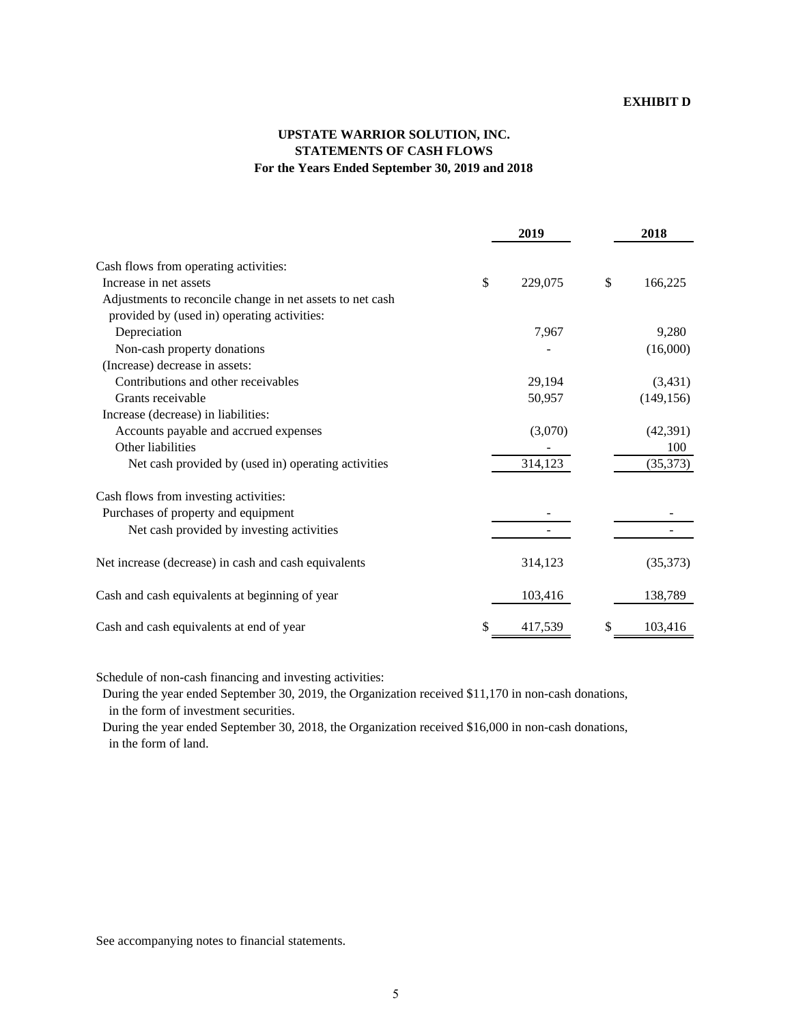## **UPSTATE WARRIOR SOLUTION, INC. STATEMENTS OF CASH FLOWS For the Years Ended September 30, 2019 and 2018**

|                                                           |    | 2019    | 2018          |
|-----------------------------------------------------------|----|---------|---------------|
| Cash flows from operating activities:                     |    |         |               |
| Increase in net assets                                    | \$ | 229,075 | \$<br>166,225 |
| Adjustments to reconcile change in net assets to net cash |    |         |               |
| provided by (used in) operating activities:               |    |         |               |
| Depreciation                                              |    | 7,967   | 9,280         |
| Non-cash property donations                               |    |         | (16,000)      |
| (Increase) decrease in assets:                            |    |         |               |
| Contributions and other receivables                       |    | 29,194  | (3,431)       |
| Grants receivable                                         |    | 50,957  | (149, 156)    |
| Increase (decrease) in liabilities:                       |    |         |               |
| Accounts payable and accrued expenses                     |    | (3,070) | (42, 391)     |
| Other liabilities                                         |    |         | 100           |
| Net cash provided by (used in) operating activities       |    | 314,123 | (35, 373)     |
| Cash flows from investing activities:                     |    |         |               |
| Purchases of property and equipment                       |    |         |               |
| Net cash provided by investing activities                 |    |         |               |
| Net increase (decrease) in cash and cash equivalents      |    | 314,123 | (35,373)      |
| Cash and cash equivalents at beginning of year            |    | 103,416 | 138,789       |
| Cash and cash equivalents at end of year                  | S  | 417,539 | \$<br>103,416 |

Schedule of non-cash financing and investing activities:

 During the year ended September 30, 2019, the Organization received \$11,170 in non-cash donations, in the form of investment securities.

 During the year ended September 30, 2018, the Organization received \$16,000 in non-cash donations, in the form of land.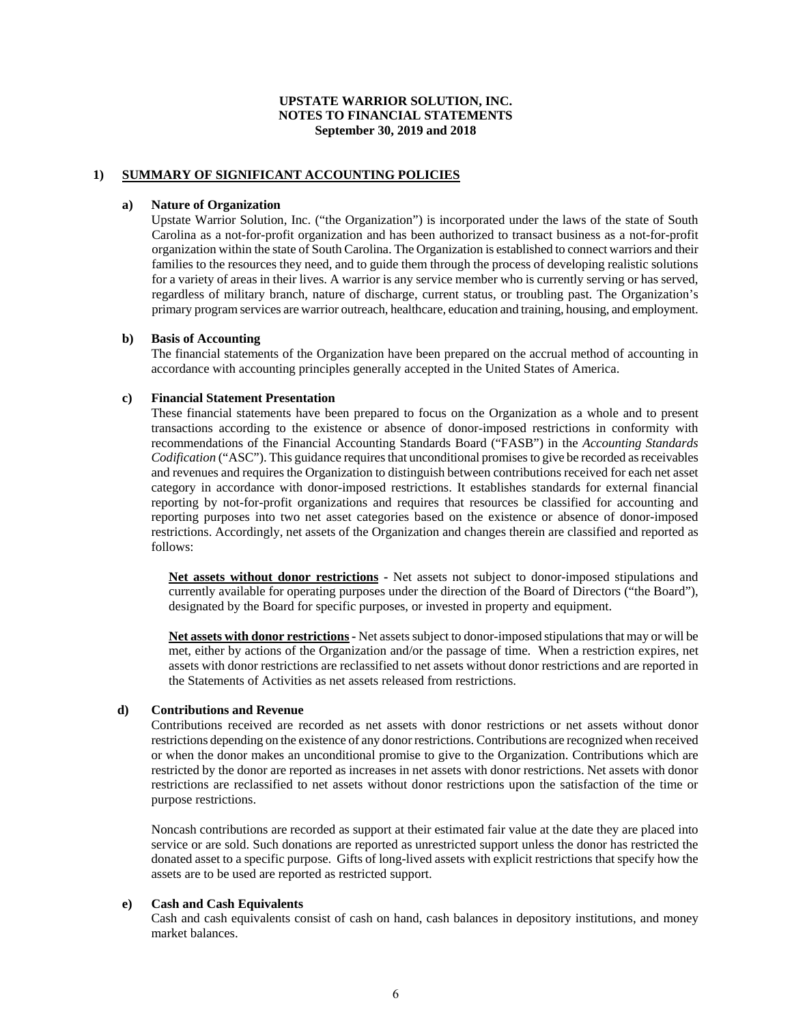## **1) SUMMARY OF SIGNIFICANT ACCOUNTING POLICIES**

#### **a) Nature of Organization**

Upstate Warrior Solution, Inc. ("the Organization") is incorporated under the laws of the state of South Carolina as a not-for-profit organization and has been authorized to transact business as a not-for-profit organization within the state of South Carolina. The Organization is established to connect warriors and their families to the resources they need, and to guide them through the process of developing realistic solutions for a variety of areas in their lives. A warrior is any service member who is currently serving or has served, regardless of military branch, nature of discharge, current status, or troubling past. The Organization's primary program services are warrior outreach, healthcare, education and training, housing, and employment.

#### **b) Basis of Accounting**

The financial statements of the Organization have been prepared on the accrual method of accounting in accordance with accounting principles generally accepted in the United States of America.

### **c) Financial Statement Presentation**

These financial statements have been prepared to focus on the Organization as a whole and to present transactions according to the existence or absence of donor-imposed restrictions in conformity with recommendations of the Financial Accounting Standards Board ("FASB") in the *Accounting Standards Codification* ("ASC"). This guidance requires that unconditional promises to give be recorded as receivables and revenues and requires the Organization to distinguish between contributions received for each net asset category in accordance with donor-imposed restrictions. It establishes standards for external financial reporting by not-for-profit organizations and requires that resources be classified for accounting and reporting purposes into two net asset categories based on the existence or absence of donor-imposed restrictions. Accordingly, net assets of the Organization and changes therein are classified and reported as follows:

**Net assets without donor restrictions -** Net assets not subject to donor-imposed stipulations and currently available for operating purposes under the direction of the Board of Directors ("the Board"), designated by the Board for specific purposes, or invested in property and equipment.

**Net assets with donor restrictions -** Net assets subject to donor-imposed stipulations that may or will be met, either by actions of the Organization and/or the passage of time. When a restriction expires, net assets with donor restrictions are reclassified to net assets without donor restrictions and are reported in the Statements of Activities as net assets released from restrictions.

### **d) Contributions and Revenue**

Contributions received are recorded as net assets with donor restrictions or net assets without donor restrictions depending on the existence of any donor restrictions. Contributions are recognized when received or when the donor makes an unconditional promise to give to the Organization. Contributions which are restricted by the donor are reported as increases in net assets with donor restrictions. Net assets with donor restrictions are reclassified to net assets without donor restrictions upon the satisfaction of the time or purpose restrictions.

Noncash contributions are recorded as support at their estimated fair value at the date they are placed into service or are sold. Such donations are reported as unrestricted support unless the donor has restricted the donated asset to a specific purpose. Gifts of long-lived assets with explicit restrictions that specify how the assets are to be used are reported as restricted support.

#### **e) Cash and Cash Equivalents**

Cash and cash equivalents consist of cash on hand, cash balances in depository institutions, and money market balances.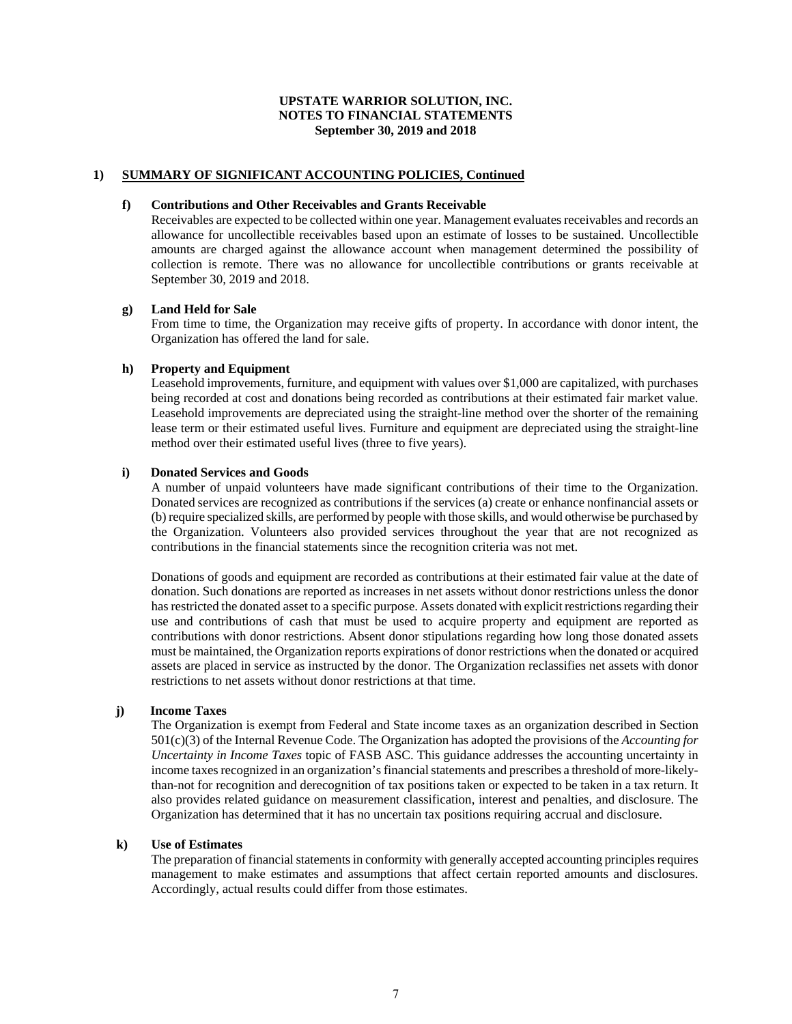## **1) SUMMARY OF SIGNIFICANT ACCOUNTING POLICIES, Continued**

### **f) Contributions and Other Receivables and Grants Receivable**

Receivables are expected to be collected within one year. Management evaluates receivables and records an allowance for uncollectible receivables based upon an estimate of losses to be sustained. Uncollectible amounts are charged against the allowance account when management determined the possibility of collection is remote. There was no allowance for uncollectible contributions or grants receivable at September 30, 2019 and 2018.

#### **g) Land Held for Sale**

From time to time, the Organization may receive gifts of property. In accordance with donor intent, the Organization has offered the land for sale.

#### **h) Property and Equipment**

Leasehold improvements, furniture, and equipment with values over \$1,000 are capitalized, with purchases being recorded at cost and donations being recorded as contributions at their estimated fair market value. Leasehold improvements are depreciated using the straight-line method over the shorter of the remaining lease term or their estimated useful lives. Furniture and equipment are depreciated using the straight-line method over their estimated useful lives (three to five years).

#### **i) Donated Services and Goods**

A number of unpaid volunteers have made significant contributions of their time to the Organization. Donated services are recognized as contributions if the services (a) create or enhance nonfinancial assets or (b) require specialized skills, are performed by people with those skills, and would otherwise be purchased by the Organization. Volunteers also provided services throughout the year that are not recognized as contributions in the financial statements since the recognition criteria was not met.

Donations of goods and equipment are recorded as contributions at their estimated fair value at the date of donation. Such donations are reported as increases in net assets without donor restrictions unless the donor has restricted the donated asset to a specific purpose. Assets donated with explicit restrictions regarding their use and contributions of cash that must be used to acquire property and equipment are reported as contributions with donor restrictions. Absent donor stipulations regarding how long those donated assets must be maintained, the Organization reports expirations of donor restrictions when the donated or acquired assets are placed in service as instructed by the donor. The Organization reclassifies net assets with donor restrictions to net assets without donor restrictions at that time.

### **j) Income Taxes**

The Organization is exempt from Federal and State income taxes as an organization described in Section 501(c)(3) of the Internal Revenue Code. The Organization has adopted the provisions of the *Accounting for Uncertainty in Income Taxes* topic of FASB ASC. This guidance addresses the accounting uncertainty in income taxes recognized in an organization's financial statements and prescribes a threshold of more-likelythan-not for recognition and derecognition of tax positions taken or expected to be taken in a tax return. It also provides related guidance on measurement classification, interest and penalties, and disclosure. The Organization has determined that it has no uncertain tax positions requiring accrual and disclosure.

#### **k) Use of Estimates**

The preparation of financial statements in conformity with generally accepted accounting principles requires management to make estimates and assumptions that affect certain reported amounts and disclosures. Accordingly, actual results could differ from those estimates.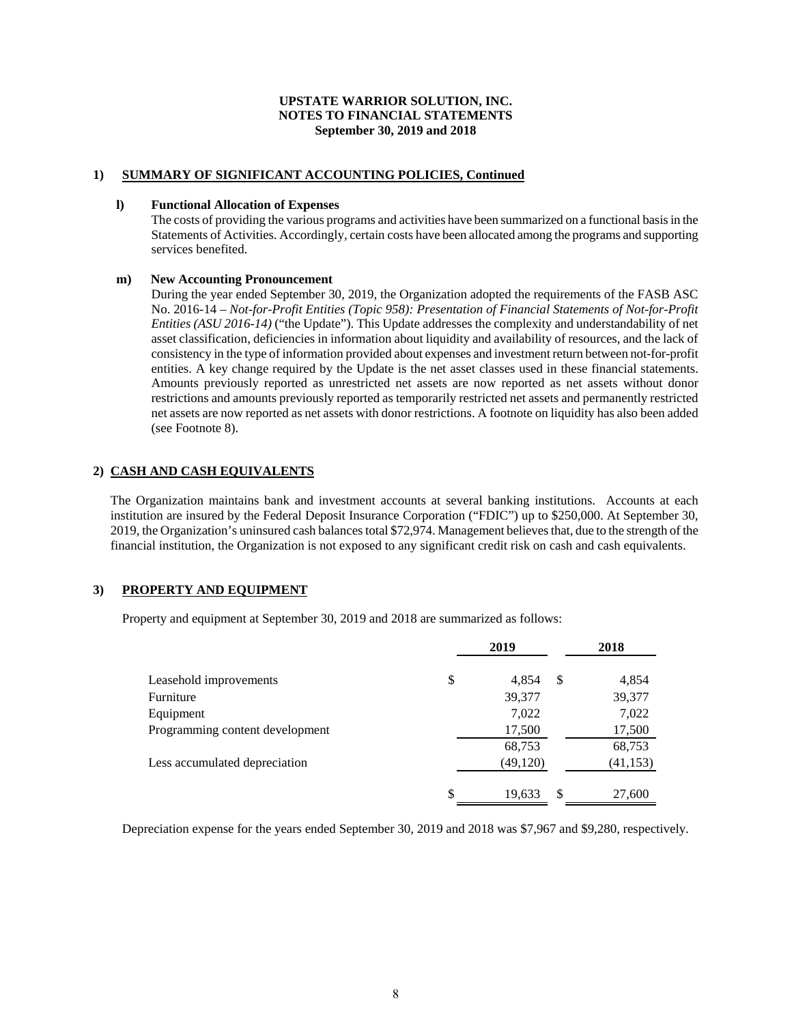## **1) SUMMARY OF SIGNIFICANT ACCOUNTING POLICIES, Continued**

### **l) Functional Allocation of Expenses**

The costs of providing the various programs and activities have been summarized on a functional basis in the Statements of Activities. Accordingly, certain costs have been allocated among the programs and supporting services benefited.

## **m) New Accounting Pronouncement**

During the year ended September 30, 2019, the Organization adopted the requirements of the FASB ASC No. 2016-14 – *Not-for-Profit Entities (Topic 958): Presentation of Financial Statements of Not-for-Profit Entities (ASU 2016-14)* ("the Update"). This Update addresses the complexity and understandability of net asset classification, deficiencies in information about liquidity and availability of resources, and the lack of consistency in the type of information provided about expenses and investment return between not-for-profit entities. A key change required by the Update is the net asset classes used in these financial statements. Amounts previously reported as unrestricted net assets are now reported as net assets without donor restrictions and amounts previously reported as temporarily restricted net assets and permanently restricted net assets are now reported as net assets with donor restrictions. A footnote on liquidity has also been added (see Footnote 8).

## **2) CASH AND CASH EQUIVALENTS**

The Organization maintains bank and investment accounts at several banking institutions. Accounts at each institution are insured by the Federal Deposit Insurance Corporation ("FDIC") up to \$250,000. At September 30, 2019, the Organization's uninsured cash balances total \$72,974. Management believes that, due to the strength of the financial institution, the Organization is not exposed to any significant credit risk on cash and cash equivalents.

## **3) PROPERTY AND EQUIPMENT**

Property and equipment at September 30, 2019 and 2018 are summarized as follows:

|                                 | 2019 |             |    | 2018      |  |  |
|---------------------------------|------|-------------|----|-----------|--|--|
| Leasehold improvements          | \$   | 4,854<br>\$ |    | 4,854     |  |  |
| Furniture                       |      | 39,377      |    | 39,377    |  |  |
| Equipment                       |      | 7,022       |    | 7,022     |  |  |
| Programming content development |      | 17,500      |    | 17,500    |  |  |
|                                 |      | 68,753      |    | 68,753    |  |  |
| Less accumulated depreciation   |      | (49, 120)   |    | (41, 153) |  |  |
|                                 | \$   | 19,633      | \$ | 27,600    |  |  |

Depreciation expense for the years ended September 30, 2019 and 2018 was \$7,967 and \$9,280, respectively.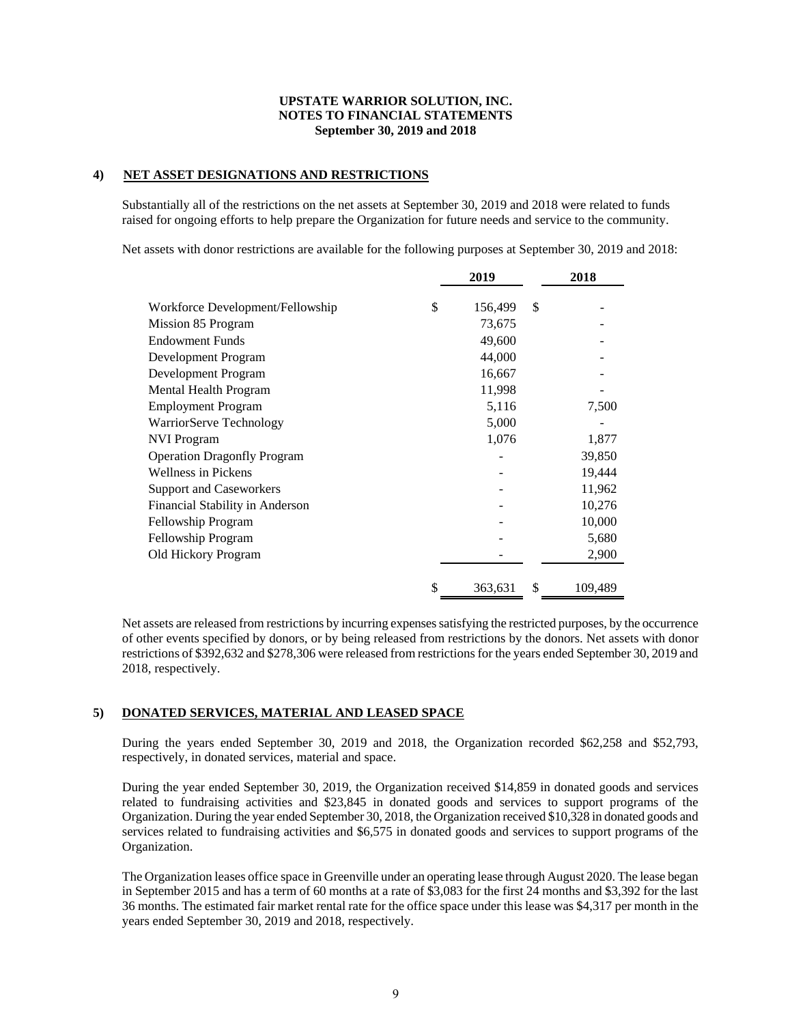### **4) NET ASSET DESIGNATIONS AND RESTRICTIONS**

Substantially all of the restrictions on the net assets at September 30, 2019 and 2018 were related to funds raised for ongoing efforts to help prepare the Organization for future needs and service to the community.

Net assets with donor restrictions are available for the following purposes at September 30, 2019 and 2018:

|                                    | 2019          | 2018          |
|------------------------------------|---------------|---------------|
| Workforce Development/Fellowship   | \$<br>156,499 | \$            |
| Mission 85 Program                 | 73,675        |               |
| <b>Endowment Funds</b>             | 49,600        |               |
| Development Program                | 44,000        |               |
| Development Program                | 16,667        |               |
| Mental Health Program              | 11,998        |               |
| <b>Employment Program</b>          | 5,116         | 7,500         |
| WarriorServe Technology            | 5,000         |               |
| <b>NVI Program</b>                 | 1,076         | 1,877         |
| <b>Operation Dragonfly Program</b> |               | 39,850        |
| <b>Wellness in Pickens</b>         |               | 19,444        |
| <b>Support and Caseworkers</b>     |               | 11,962        |
| Financial Stability in Anderson    |               | 10,276        |
| Fellowship Program                 |               | 10,000        |
| Fellowship Program                 |               | 5,680         |
| Old Hickory Program                |               | 2,900         |
|                                    | \$<br>363,631 | \$<br>109,489 |

Net assets are released from restrictions by incurring expenses satisfying the restricted purposes, by the occurrence of other events specified by donors, or by being released from restrictions by the donors. Net assets with donor restrictions of \$392,632 and \$278,306 were released from restrictions for the years ended September 30, 2019 and 2018, respectively.

#### **5) DONATED SERVICES, MATERIAL AND LEASED SPACE**

During the years ended September 30, 2019 and 2018, the Organization recorded \$62,258 and \$52,793, respectively, in donated services, material and space.

During the year ended September 30, 2019, the Organization received \$14,859 in donated goods and services related to fundraising activities and \$23,845 in donated goods and services to support programs of the Organization. During the year ended September 30, 2018, the Organization received \$10,328 in donated goods and services related to fundraising activities and \$6,575 in donated goods and services to support programs of the Organization.

The Organization leases office space in Greenville under an operating lease through August 2020. The lease began in September 2015 and has a term of 60 months at a rate of \$3,083 for the first 24 months and \$3,392 for the last 36 months. The estimated fair market rental rate for the office space under this lease was \$4,317 per month in the years ended September 30, 2019 and 2018, respectively.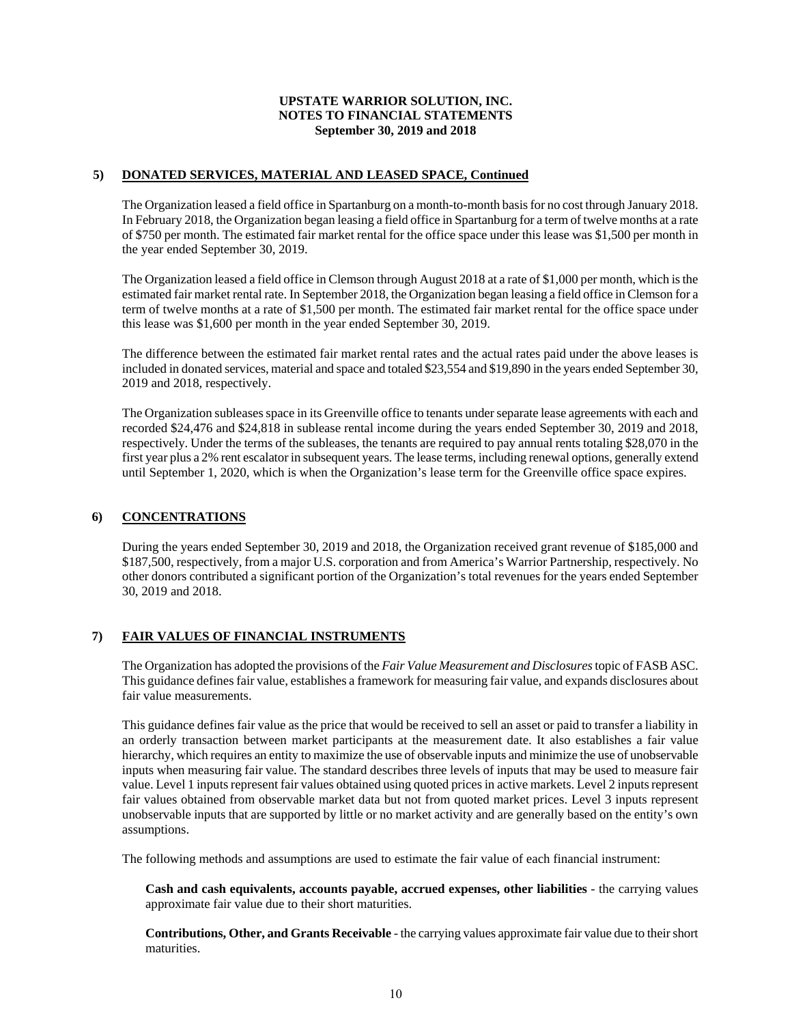## **5) DONATED SERVICES, MATERIAL AND LEASED SPACE, Continued**

The Organization leased a field office in Spartanburg on a month-to-month basis for no cost through January 2018. In February 2018, the Organization began leasing a field office in Spartanburg for a term of twelve months at a rate of \$750 per month. The estimated fair market rental for the office space under this lease was \$1,500 per month in the year ended September 30, 2019.

The Organization leased a field office in Clemson through August 2018 at a rate of \$1,000 per month, which is the estimated fair market rental rate. In September 2018, the Organization began leasing a field office in Clemson for a term of twelve months at a rate of \$1,500 per month. The estimated fair market rental for the office space under this lease was \$1,600 per month in the year ended September 30, 2019.

The difference between the estimated fair market rental rates and the actual rates paid under the above leases is included in donated services, material and space and totaled \$23,554 and \$19,890 in the years ended September 30, 2019 and 2018, respectively.

The Organization subleases space in its Greenville office to tenants under separate lease agreements with each and recorded \$24,476 and \$24,818 in sublease rental income during the years ended September 30, 2019 and 2018, respectively. Under the terms of the subleases, the tenants are required to pay annual rents totaling \$28,070 in the first year plus a 2% rent escalator in subsequent years. The lease terms, including renewal options, generally extend until September 1, 2020, which is when the Organization's lease term for the Greenville office space expires.

## **6) CONCENTRATIONS**

During the years ended September 30, 2019 and 2018, the Organization received grant revenue of \$185,000 and \$187,500, respectively, from a major U.S. corporation and from America's Warrior Partnership, respectively. No other donors contributed a significant portion of the Organization's total revenues for the years ended September 30, 2019 and 2018.

## **7) FAIR VALUES OF FINANCIAL INSTRUMENTS**

The Organization has adopted the provisions of the *Fair Value Measurement and Disclosures* topic of FASB ASC. This guidance defines fair value, establishes a framework for measuring fair value, and expands disclosures about fair value measurements.

This guidance defines fair value as the price that would be received to sell an asset or paid to transfer a liability in an orderly transaction between market participants at the measurement date. It also establishes a fair value hierarchy, which requires an entity to maximize the use of observable inputs and minimize the use of unobservable inputs when measuring fair value. The standard describes three levels of inputs that may be used to measure fair value. Level 1 inputs represent fair values obtained using quoted prices in active markets. Level 2 inputs represent fair values obtained from observable market data but not from quoted market prices. Level 3 inputs represent unobservable inputs that are supported by little or no market activity and are generally based on the entity's own assumptions.

The following methods and assumptions are used to estimate the fair value of each financial instrument:

**Cash and cash equivalents, accounts payable, accrued expenses, other liabilities** - the carrying values approximate fair value due to their short maturities.

**Contributions, Other, and Grants Receivable** - the carrying values approximate fair value due to their short maturities.